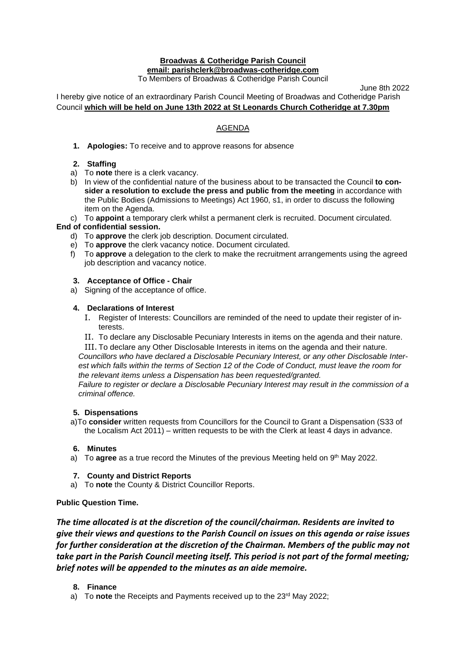#### **Broadwas & Cotheridge Parish Council email: parishclerk@broadwas-cotheridge.com** To Members of Broadwas & Cotheridge Parish Council

June 8th 2022

I hereby give notice of an extraordinary Parish Council Meeting of Broadwas and Cotheridge Parish Council **which will be held on June 13th 2022 at St Leonards Church Cotheridge at 7.30pm**

# AGENDA

**1. Apologies:** To receive and to approve reasons for absence

## **2. Staffing**

- a) To **note** there is a clerk vacancy.
- b) In view of the confidential nature of the business about to be transacted the Council **to consider a resolution to exclude the press and public from the meeting** in accordance with the Public Bodies (Admissions to Meetings) Act 1960, s1, in order to discuss the following item on the Agenda.
- c) To **appoint** a temporary clerk whilst a permanent clerk is recruited. Document circulated.

#### **End of confidential session.**

- d) To **approve** the clerk job description. Document circulated.
- e) To **approve** the clerk vacancy notice. Document circulated.
- f) To **approve** a delegation to the clerk to make the recruitment arrangements using the agreed job description and vacancy notice.

### **3. Acceptance of Office - Chair**

a) Signing of the acceptance of office.

### **4. Declarations of Interest**

- I. Register of Interests: Councillors are reminded of the need to update their register of interests.
- II. To declare any Disclosable Pecuniary Interests in items on the agenda and their nature.

III. To declare any Other Disclosable Interests in items on the agenda and their nature. *Councillors who have declared a Disclosable Pecuniary Interest, or any other Disclosable Inter*est which falls within the terms of Section 12 of the Code of Conduct, must leave the room for *the relevant items unless a Dispensation has been requested/granted.*

*Failure to register or declare a Disclosable Pecuniary Interest may result in the commission of a criminal offence.*

#### **5. Dispensations**

a)To **consider** written requests from Councillors for the Council to Grant a Dispensation (S33 of the Localism Act 2011) – written requests to be with the Clerk at least 4 days in advance.

#### **6. Minutes**

a) To **agree** as a true record the Minutes of the previous Meeting held on 9<sup>th</sup> May 2022.

#### **7. County and District Reports**

a) To **note** the County & District Councillor Reports.

## **Public Question Time.**

*The time allocated is at the discretion of the council/chairman. Residents are invited to give their views and questions to the Parish Council on issues on this agenda or raise issues for further consideration at the discretion of the Chairman. Members of the public may not take part in the Parish Council meeting itself. This period is not part of the formal meeting; brief notes will be appended to the minutes as an aide memoire.*

## **8. Finance**

a) To **note** the Receipts and Payments received up to the 23rd May 2022;